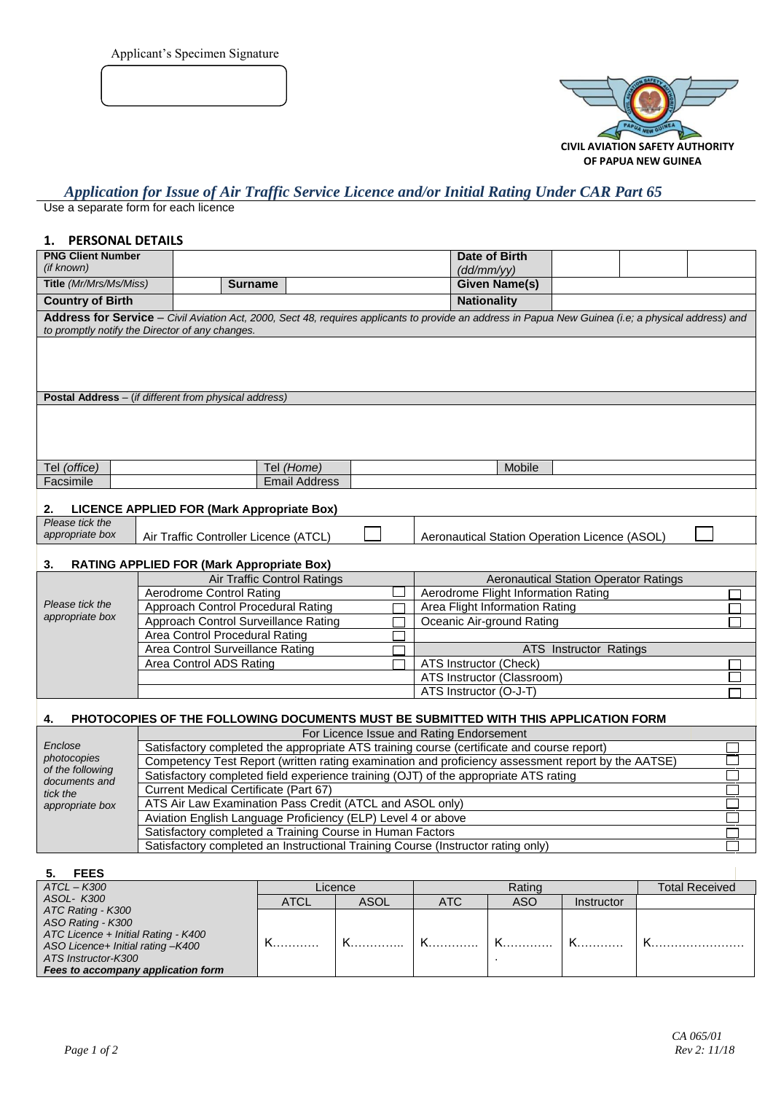Applicant's Specimen Signature



# *Application for Issue of Air Traffic Service Licence and/or Initial Rating Under CAR Part 65*

Use a separate form for each licence

## **1. PERSONAL DETAILS**

| <b>PNG Client Number</b><br>(if known)                                                                                                                                                                                                           |                                                                                                                                        |                                                                                                                                                      |  |  | Date of Birth                                 |                        |  |  |
|--------------------------------------------------------------------------------------------------------------------------------------------------------------------------------------------------------------------------------------------------|----------------------------------------------------------------------------------------------------------------------------------------|------------------------------------------------------------------------------------------------------------------------------------------------------|--|--|-----------------------------------------------|------------------------|--|--|
| Title (Mr/Mrs/Ms/Miss)                                                                                                                                                                                                                           |                                                                                                                                        |                                                                                                                                                      |  |  | (dd/mm/yy)<br><b>Given Name(s)</b>            |                        |  |  |
|                                                                                                                                                                                                                                                  |                                                                                                                                        | <b>Surname</b>                                                                                                                                       |  |  |                                               |                        |  |  |
| <b>Country of Birth</b>                                                                                                                                                                                                                          |                                                                                                                                        |                                                                                                                                                      |  |  | <b>Nationality</b>                            |                        |  |  |
|                                                                                                                                                                                                                                                  | to promptly notify the Director of any changes.                                                                                        | Address for Service - Civil Aviation Act, 2000, Sect 48, requires applicants to provide an address in Papua New Guinea (i.e; a physical address) and |  |  |                                               |                        |  |  |
|                                                                                                                                                                                                                                                  |                                                                                                                                        |                                                                                                                                                      |  |  |                                               |                        |  |  |
|                                                                                                                                                                                                                                                  |                                                                                                                                        |                                                                                                                                                      |  |  |                                               |                        |  |  |
|                                                                                                                                                                                                                                                  |                                                                                                                                        |                                                                                                                                                      |  |  |                                               |                        |  |  |
|                                                                                                                                                                                                                                                  | Postal Address - (if different from physical address)                                                                                  |                                                                                                                                                      |  |  |                                               |                        |  |  |
|                                                                                                                                                                                                                                                  |                                                                                                                                        |                                                                                                                                                      |  |  |                                               |                        |  |  |
|                                                                                                                                                                                                                                                  |                                                                                                                                        |                                                                                                                                                      |  |  |                                               |                        |  |  |
|                                                                                                                                                                                                                                                  |                                                                                                                                        |                                                                                                                                                      |  |  |                                               |                        |  |  |
|                                                                                                                                                                                                                                                  |                                                                                                                                        |                                                                                                                                                      |  |  |                                               |                        |  |  |
| Tel (office)                                                                                                                                                                                                                                     |                                                                                                                                        | Tel (Home)                                                                                                                                           |  |  | Mobile                                        |                        |  |  |
| Facsimile                                                                                                                                                                                                                                        |                                                                                                                                        | <b>Email Address</b>                                                                                                                                 |  |  |                                               |                        |  |  |
| 2.                                                                                                                                                                                                                                               | LICENCE APPLIED FOR (Mark Appropriate Box)                                                                                             |                                                                                                                                                      |  |  |                                               |                        |  |  |
| Please tick the                                                                                                                                                                                                                                  |                                                                                                                                        |                                                                                                                                                      |  |  |                                               |                        |  |  |
| appropriate box                                                                                                                                                                                                                                  | Air Traffic Controller Licence (ATCL)                                                                                                  |                                                                                                                                                      |  |  | Aeronautical Station Operation Licence (ASOL) |                        |  |  |
|                                                                                                                                                                                                                                                  |                                                                                                                                        |                                                                                                                                                      |  |  |                                               |                        |  |  |
| 3.<br><b>RATING APPLIED FOR (Mark Appropriate Box)</b>                                                                                                                                                                                           |                                                                                                                                        |                                                                                                                                                      |  |  |                                               |                        |  |  |
| <b>Air Traffic Control Ratings</b><br><b>Aeronautical Station Operator Ratings</b><br>Aerodrome Control Rating<br>Aerodrome Flight Information Rating<br>Please tick the<br>Approach Control Procedural Rating<br>Area Flight Information Rating |                                                                                                                                        |                                                                                                                                                      |  |  |                                               |                        |  |  |
|                                                                                                                                                                                                                                                  |                                                                                                                                        |                                                                                                                                                      |  |  |                                               |                        |  |  |
| appropriate box                                                                                                                                                                                                                                  |                                                                                                                                        | Approach Control Surveillance Rating                                                                                                                 |  |  | Oceanic Air-ground Rating                     |                        |  |  |
|                                                                                                                                                                                                                                                  | Area Control Procedural Rating                                                                                                         |                                                                                                                                                      |  |  |                                               |                        |  |  |
|                                                                                                                                                                                                                                                  | Area Control Surveillance Rating                                                                                                       |                                                                                                                                                      |  |  |                                               | ATS Instructor Ratings |  |  |
|                                                                                                                                                                                                                                                  |                                                                                                                                        | ATS Instructor (Check)<br>Area Control ADS Rating                                                                                                    |  |  |                                               |                        |  |  |
|                                                                                                                                                                                                                                                  |                                                                                                                                        |                                                                                                                                                      |  |  | ATS Instructor (Classroom)                    |                        |  |  |
|                                                                                                                                                                                                                                                  |                                                                                                                                        |                                                                                                                                                      |  |  | ATS Instructor (O-J-T)                        |                        |  |  |
| 4.                                                                                                                                                                                                                                               |                                                                                                                                        | PHOTOCOPIES OF THE FOLLOWING DOCUMENTS MUST BE SUBMITTED WITH THIS APPLICATION FORM                                                                  |  |  |                                               |                        |  |  |
|                                                                                                                                                                                                                                                  |                                                                                                                                        |                                                                                                                                                      |  |  |                                               |                        |  |  |
| Enclose                                                                                                                                                                                                                                          | For Licence Issue and Rating Endorsement<br>Satisfactory completed the appropriate ATS training course (certificate and course report) |                                                                                                                                                      |  |  |                                               |                        |  |  |
| photocopies                                                                                                                                                                                                                                      | Competency Test Report (written rating examination and proficiency assessment report by the AATSE)                                     |                                                                                                                                                      |  |  |                                               |                        |  |  |
| of the following<br>Satisfactory completed field experience training (OJT) of the appropriate ATS rating<br>documents and                                                                                                                        |                                                                                                                                        |                                                                                                                                                      |  |  |                                               |                        |  |  |
| tick the                                                                                                                                                                                                                                         | Current Medical Certificate (Part 67)                                                                                                  |                                                                                                                                                      |  |  |                                               |                        |  |  |
| ATS Air Law Examination Pass Credit (ATCL and ASOL only)<br>appropriate box                                                                                                                                                                      |                                                                                                                                        |                                                                                                                                                      |  |  |                                               |                        |  |  |
|                                                                                                                                                                                                                                                  |                                                                                                                                        | Aviation English Language Proficiency (ELP) Level 4 or above<br>Satisfactory completed a Training Course in Human Factors                            |  |  |                                               |                        |  |  |
|                                                                                                                                                                                                                                                  |                                                                                                                                        | Satisfactory completed an Instructional Training Course (Instructor rating only)                                                                     |  |  |                                               |                        |  |  |
|                                                                                                                                                                                                                                                  |                                                                                                                                        |                                                                                                                                                      |  |  |                                               |                        |  |  |

| <b>FEES</b>                         |      |             |            |        |            |                       |
|-------------------------------------|------|-------------|------------|--------|------------|-----------------------|
| $ATCL - K300$                       |      | Licence     |            | Rating |            | <b>Total Received</b> |
| ASOL- K300                          | ATCL | <b>ASOL</b> | <b>ATC</b> | ASO    | Instructor |                       |
| ATC Rating - K300                   |      |             |            |        |            |                       |
| ASO Rating - K300                   |      |             |            |        |            |                       |
| ATC Licence + Initial Rating - K400 |      |             |            |        |            |                       |
| ASO Licence+ Initial rating -K400   |      |             |            |        |            |                       |
| ATS Instructor-K300                 |      |             |            |        |            |                       |
| Fees to accompany application form  |      |             |            |        |            |                       |